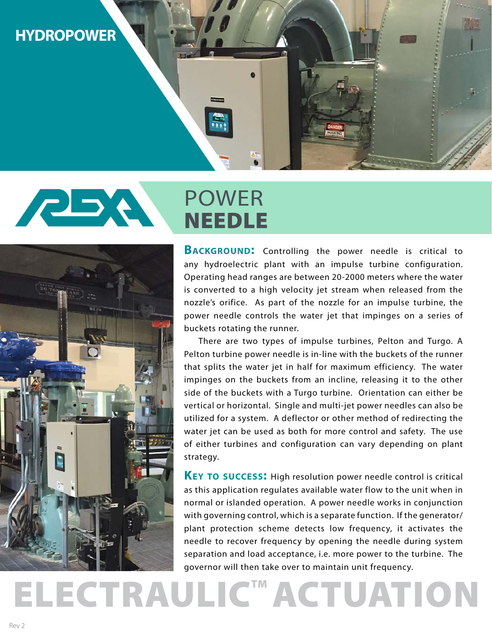# **HYDROPOWER**

# **PBA** POWER NEEDLE



# **BACKGROUND:** Controlling the power needle is critical to any hydroelectric plant with an impulse turbine configuration. Operating head ranges are between 20-2000 meters where the water is converted to a high velocity jet stream when released from the nozzle's orifice. As part of the nozzle for an impulse turbine, the power needle controls the water jet that impinges on a series of buckets rotating the runner.

There are two types of impulse turbines, Pelton and Turgo. A Pelton turbine power needle is in-line with the buckets of the runner that splits the water jet in half for maximum efficiency. The water impinges on the buckets from an incline, releasing it to the other side of the buckets with a Turgo turbine. Orientation can either be vertical or horizontal. Single and multi-jet power needles can also be utilized for a system. A deflector or other method of redirecting the water jet can be used as both for more control and safety. The use of either turbines and configuration can vary depending on plant strategy.

**Key to success:** High resolution power needle control is critical as this application regulates available water flow to the unit when in normal or islanded operation. A power needle works in conjunction with governing control, which is a separate function. If the generator/ plant protection scheme detects low frequency, it activates the needle to recover frequency by opening the needle during system separation and load acceptance, i.e. more power to the turbine. The governor will then take over to maintain unit frequency.

**ELECTRAULIC<sup>™</sup> ACTUATION**